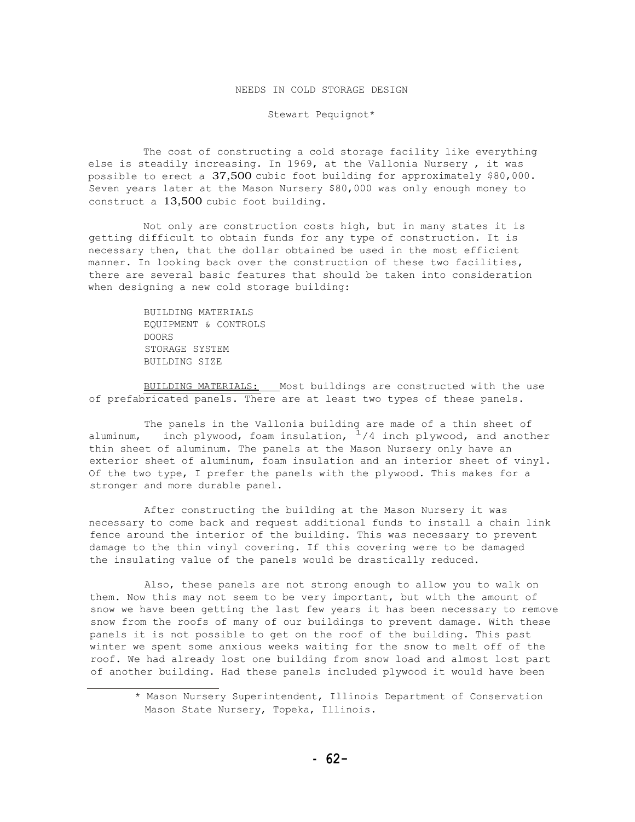## NEEDS IN COLD STORAGE DESIGN

Stewart Pequignot\*

The cost of constructing a cold storage facility like everything else is steadily increasing. In 1969, at the Vallonia Nursery , it was possible to erect a 37,500 cubic foot building for approximately \$80,000. Seven years later at the Mason Nursery \$80,000 was only enough money to construct a 13,500 cubic foot building.

Not only are construction costs high, but in many states it is getting difficult to obtain funds for any type of construction. It is necessary then, that the dollar obtained be used in the most efficient manner. In looking back over the construction of these two facilities, there are several basic features that should be taken into consideration when designing a new cold storage building:

> BUILDING MATERIALS EQUIPMENT & CONTROLS DOORS STORAGE SYSTEM BUILDING SIZE

BUILDING MATERIALS: Most buildings are constructed with the use of prefabricated panels. There are at least two types of these panels.

The panels in the Vallonia building are made of a thin sheet of aluminum, inch plywood, foam insulation,  $1/4$  inch plywood, and another thin sheet of aluminum. The panels at the Mason Nursery only have an exterior sheet of aluminum, foam insulation and an interior sheet of vinyl. Of the two type, I prefer the panels with the plywood. This makes for a stronger and more durable panel.

After constructing the building at the Mason Nursery it was necessary to come back and request additional funds to install a chain link fence around the interior of the building. This was necessary to prevent damage to the thin vinyl covering. If this covering were to be damaged the insulating value of the panels would be drastically reduced.

Also, these panels are not strong enough to allow you to walk on them. Now this may not seem to be very important, but with the amount of snow we have been getting the last few years it has been necessary to remove snow from the roofs of many of our buildings to prevent damage. With these panels it is not possible to get on the roof of the building. This past winter we spent some anxious weeks waiting for the snow to melt off of the roof. We had already lost one building from snow load and almost lost part of another building. Had these panels included plywood it would have been

<sup>\*</sup> Mason Nursery Superintendent, Illinois Department of Conservation Mason State Nursery, Topeka, Illinois.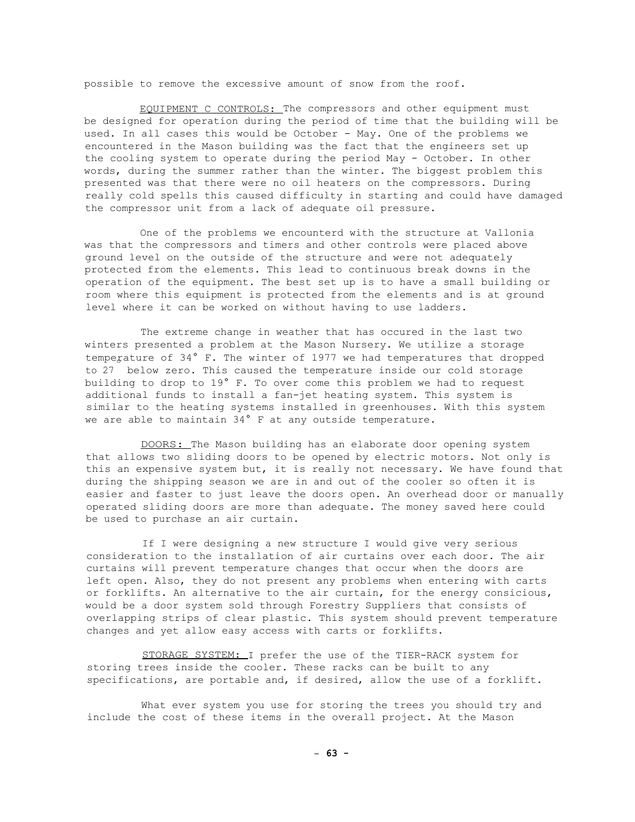possible to remove the excessive amount of snow from the roof.

EQUIPMENT C CONTROLS: The compressors and other equipment must be designed for operation during the period of time that the building will be used. In all cases this would be October - May. One of the problems we encountered in the Mason building was the fact that the engineers set up the cooling system to operate during the period May - October. In other words, during the summer rather than the winter. The biggest problem this presented was that there were no oil heaters on the compressors. During really cold spells this caused difficulty in starting and could have damaged the compressor unit from a lack of adequate oil pressure.

One of the problems we encounterd with the structure at Vallonia was that the compressors and timers and other controls were placed above ground level on the outside of the structure and were not adequately protected from the elements. This lead to continuous break downs in the operation of the equipment. The best set up is to have a small building or room where this equipment is protected from the elements and is at ground level where it can be worked on without having to use ladders.

The extreme change in weather that has occured in the last two winters presented a problem at the Mason Nursery. We utilize a storage temperature of 34° F. The winter of 1977 we had temperatures that dropped to 27 below zero. This caused the temperature inside our cold storage building to drop to 19° F. To over come this problem we had to request additional funds to install a fan-jet heating system. This system is similar to the heating systems installed in greenhouses. With this system we are able to maintain 34° F at any outside temperature.

DOORS: The Mason building has an elaborate door opening system that allows two sliding doors to be opened by electric motors. Not only is this an expensive system but, it is really not necessary. We have found that during the shipping season we are in and out of the cooler so often it is easier and faster to just leave the doors open. An overhead door or manually operated sliding doors are more than adequate. The money saved here could be used to purchase an air curtain.

If I were designing a new structure I would give very serious consideration to the installation of air curtains over each door. The air curtains will prevent temperature changes that occur when the doors are left open. Also, they do not present any problems when entering with carts or forklifts. An alternative to the air curtain, for the energy consicious, would be a door system sold through Forestry Suppliers that consists of overlapping strips of clear plastic. This system should prevent temperature changes and yet allow easy access with carts or forklifts.

STORAGE SYSTEM: I prefer the use of the TIER-RACK system for storing trees inside the cooler. These racks can be built to any specifications, are portable and, if desired, allow the use of a forklift.

What ever system you use for storing the trees you should try and include the cost of these items in the overall project. At the Mason